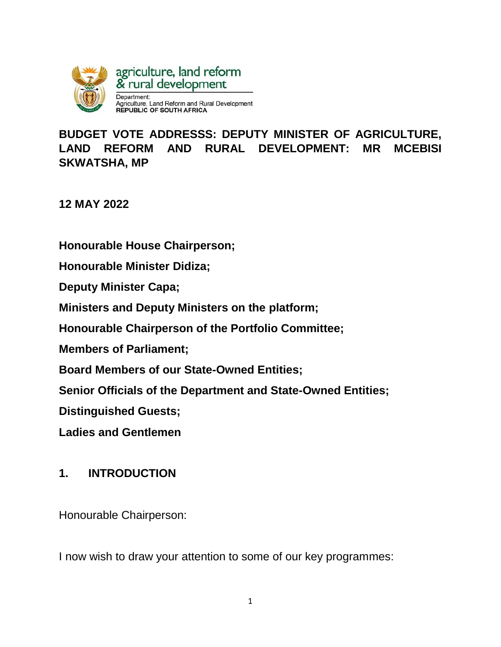

**BUDGET VOTE ADDRESSS: DEPUTY MINISTER OF AGRICULTURE, LAND REFORM AND RURAL DEVELOPMENT: MR MCEBISI SKWATSHA, MP** 

**12 MAY 2022**

**Honourable House Chairperson;**

**Honourable Minister Didiza;** 

**Deputy Minister Capa;** 

**Ministers and Deputy Ministers on the platform;**

**Honourable Chairperson of the Portfolio Committee;**

**Members of Parliament;**

**Board Members of our State-Owned Entities;**

**Senior Officials of the Department and State-Owned Entities;**

**Distinguished Guests;** 

**Ladies and Gentlemen** 

#### **1. INTRODUCTION**

Honourable Chairperson:

I now wish to draw your attention to some of our key programmes: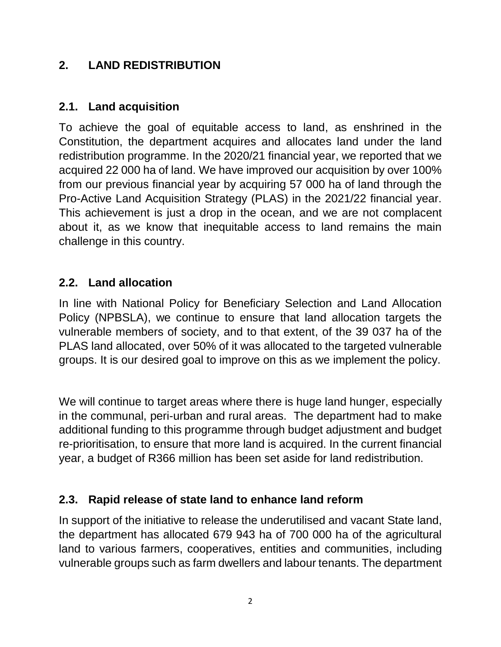### **2. LAND REDISTRIBUTION**

#### **2.1. Land acquisition**

To achieve the goal of equitable access to land, as enshrined in the Constitution, the department acquires and allocates land under the land redistribution programme. In the 2020/21 financial year, we reported that we acquired 22 000 ha of land. We have improved our acquisition by over 100% from our previous financial year by acquiring 57 000 ha of land through the Pro-Active Land Acquisition Strategy (PLAS) in the 2021/22 financial year. This achievement is just a drop in the ocean, and we are not complacent about it, as we know that inequitable access to land remains the main challenge in this country.

#### **2.2. Land allocation**

In line with National Policy for Beneficiary Selection and Land Allocation Policy (NPBSLA), we continue to ensure that land allocation targets the vulnerable members of society, and to that extent, of the 39 037 ha of the PLAS land allocated, over 50% of it was allocated to the targeted vulnerable groups. It is our desired goal to improve on this as we implement the policy.

We will continue to target areas where there is huge land hunger, especially in the communal, peri-urban and rural areas. The department had to make additional funding to this programme through budget adjustment and budget re-prioritisation, to ensure that more land is acquired. In the current financial year, a budget of R366 million has been set aside for land redistribution.

#### **2.3. Rapid release of state land to enhance land reform**

In support of the initiative to release the underutilised and vacant State land, the department has allocated 679 943 ha of 700 000 ha of the agricultural land to various farmers, cooperatives, entities and communities, including vulnerable groups such as farm dwellers and labour tenants. The department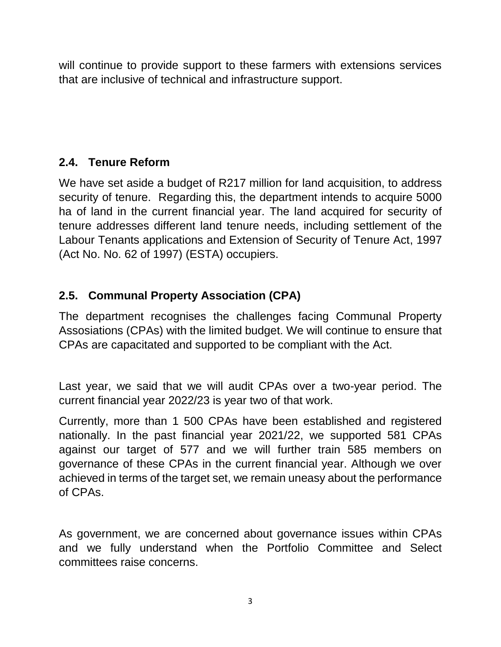will continue to provide support to these farmers with extensions services that are inclusive of technical and infrastructure support.

## **2.4. Tenure Reform**

We have set aside a budget of R217 million for land acquisition, to address security of tenure. Regarding this, the department intends to acquire 5000 ha of land in the current financial year. The land acquired for security of tenure addresses different land tenure needs, including settlement of the Labour Tenants applications and Extension of Security of Tenure Act, 1997 (Act No. No. 62 of 1997) (ESTA) occupiers.

# **2.5. Communal Property Association (CPA)**

The department recognises the challenges facing Communal Property Assosiations (CPAs) with the limited budget. We will continue to ensure that CPAs are capacitated and supported to be compliant with the Act.

Last year, we said that we will audit CPAs over a two-year period. The current financial year 2022/23 is year two of that work.

Currently, more than 1 500 CPAs have been established and registered nationally. In the past financial year 2021/22, we supported 581 CPAs against our target of 577 and we will further train 585 members on governance of these CPAs in the current financial year. Although we over achieved in terms of the target set, we remain uneasy about the performance of CPAs.

As government, we are concerned about governance issues within CPAs and we fully understand when the Portfolio Committee and Select committees raise concerns.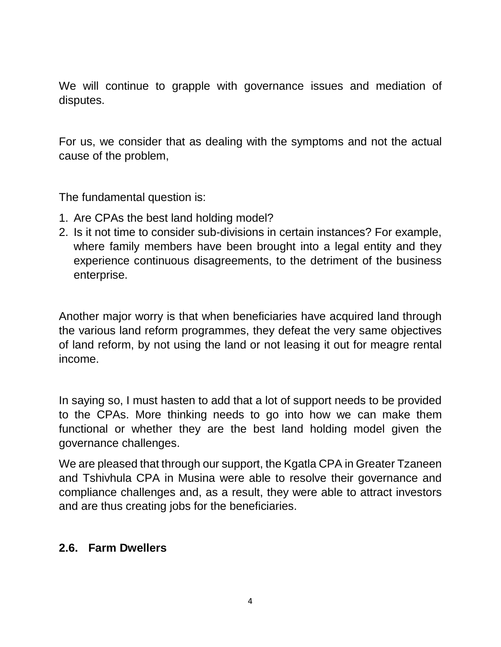We will continue to grapple with governance issues and mediation of disputes.

For us, we consider that as dealing with the symptoms and not the actual cause of the problem,

The fundamental question is:

- 1. Are CPAs the best land holding model?
- 2. Is it not time to consider sub-divisions in certain instances? For example, where family members have been brought into a legal entity and they experience continuous disagreements, to the detriment of the business enterprise.

Another major worry is that when beneficiaries have acquired land through the various land reform programmes, they defeat the very same objectives of land reform, by not using the land or not leasing it out for meagre rental income.

In saying so, I must hasten to add that a lot of support needs to be provided to the CPAs. More thinking needs to go into how we can make them functional or whether they are the best land holding model given the governance challenges.

We are pleased that through our support, the Kgatla CPA in Greater Tzaneen and Tshivhula CPA in Musina were able to resolve their governance and compliance challenges and, as a result, they were able to attract investors and are thus creating jobs for the beneficiaries.

#### **2.6. Farm Dwellers**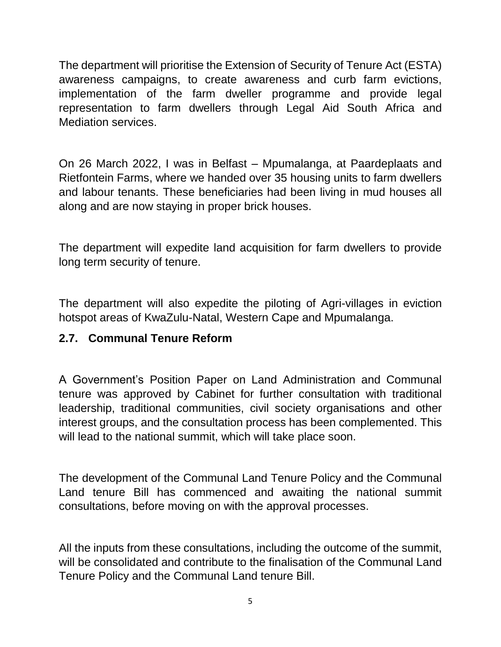The department will prioritise the Extension of Security of Tenure Act (ESTA) awareness campaigns, to create awareness and curb farm evictions, implementation of the farm dweller programme and provide legal representation to farm dwellers through Legal Aid South Africa and Mediation services.

On 26 March 2022, I was in Belfast – Mpumalanga, at Paardeplaats and Rietfontein Farms, where we handed over 35 housing units to farm dwellers and labour tenants. These beneficiaries had been living in mud houses all along and are now staying in proper brick houses.

The department will expedite land acquisition for farm dwellers to provide long term security of tenure.

The department will also expedite the piloting of Agri-villages in eviction hotspot areas of KwaZulu-Natal, Western Cape and Mpumalanga.

### **2.7. Communal Tenure Reform**

A Government's Position Paper on Land Administration and Communal tenure was approved by Cabinet for further consultation with traditional leadership, traditional communities, civil society organisations and other interest groups, and the consultation process has been complemented. This will lead to the national summit, which will take place soon.

The development of the Communal Land Tenure Policy and the Communal Land tenure Bill has commenced and awaiting the national summit consultations, before moving on with the approval processes.

All the inputs from these consultations, including the outcome of the summit, will be consolidated and contribute to the finalisation of the Communal Land Tenure Policy and the Communal Land tenure Bill.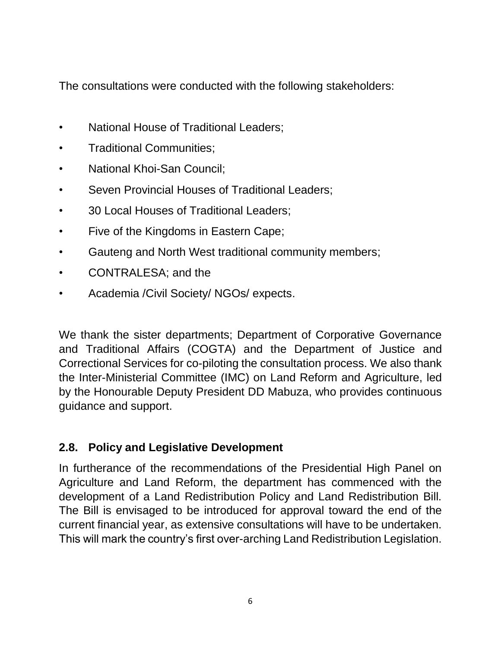The consultations were conducted with the following stakeholders:

- National House of Traditional Leaders;
- Traditional Communities;
- National Khoi-San Council;
- Seven Provincial Houses of Traditional Leaders;
- 30 Local Houses of Traditional Leaders;
- Five of the Kingdoms in Eastern Cape;
- Gauteng and North West traditional community members;
- CONTRALESA; and the
- Academia /Civil Society/ NGOs/ expects.

We thank the sister departments; Department of Corporative Governance and Traditional Affairs (COGTA) and the Department of Justice and Correctional Services for co-piloting the consultation process. We also thank the Inter-Ministerial Committee (IMC) on Land Reform and Agriculture, led by the Honourable Deputy President DD Mabuza, who provides continuous guidance and support.

## **2.8. Policy and Legislative Development**

In furtherance of the recommendations of the Presidential High Panel on Agriculture and Land Reform, the department has commenced with the development of a Land Redistribution Policy and Land Redistribution Bill. The Bill is envisaged to be introduced for approval toward the end of the current financial year, as extensive consultations will have to be undertaken. This will mark the country's first over-arching Land Redistribution Legislation.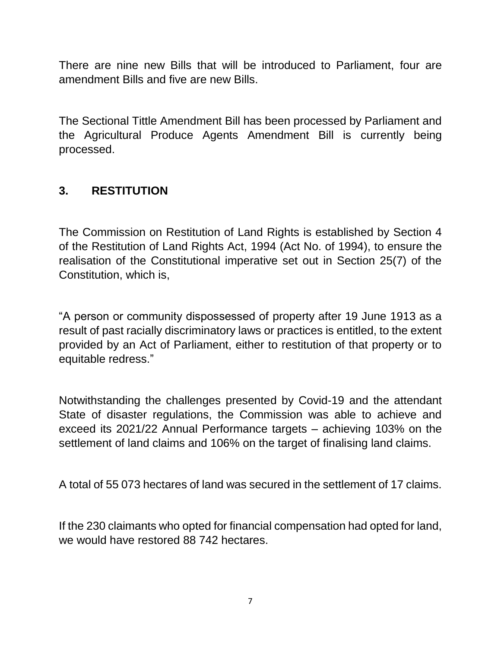There are nine new Bills that will be introduced to Parliament, four are amendment Bills and five are new Bills.

The Sectional Tittle Amendment Bill has been processed by Parliament and the Agricultural Produce Agents Amendment Bill is currently being processed.

### **3. RESTITUTION**

The Commission on Restitution of Land Rights is established by Section 4 of the Restitution of Land Rights Act, 1994 (Act No. of 1994), to ensure the realisation of the Constitutional imperative set out in Section 25(7) of the Constitution, which is,

"A person or community dispossessed of property after 19 June 1913 as a result of past racially discriminatory laws or practices is entitled, to the extent provided by an Act of Parliament, either to restitution of that property or to equitable redress."

Notwithstanding the challenges presented by Covid-19 and the attendant State of disaster regulations, the Commission was able to achieve and exceed its 2021/22 Annual Performance targets – achieving 103% on the settlement of land claims and 106% on the target of finalising land claims.

A total of 55 073 hectares of land was secured in the settlement of 17 claims.

If the 230 claimants who opted for financial compensation had opted for land, we would have restored 88 742 hectares.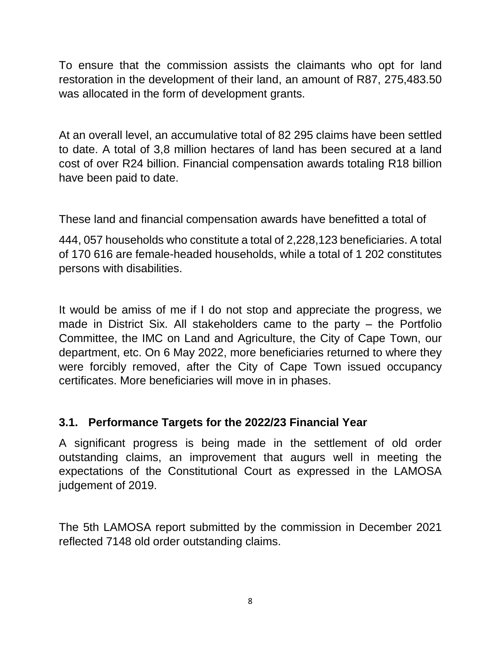To ensure that the commission assists the claimants who opt for land restoration in the development of their land, an amount of R87, 275,483.50 was allocated in the form of development grants.

At an overall level, an accumulative total of 82 295 claims have been settled to date. A total of 3,8 million hectares of land has been secured at a land cost of over R24 billion. Financial compensation awards totaling R18 billion have been paid to date.

These land and financial compensation awards have benefitted a total of

444, 057 households who constitute a total of 2,228,123 beneficiaries. A total of 170 616 are female-headed households, while a total of 1 202 constitutes persons with disabilities.

It would be amiss of me if I do not stop and appreciate the progress, we made in District Six. All stakeholders came to the party – the Portfolio Committee, the IMC on Land and Agriculture, the City of Cape Town, our department, etc. On 6 May 2022, more beneficiaries returned to where they were forcibly removed, after the City of Cape Town issued occupancy certificates. More beneficiaries will move in in phases.

## **3.1. Performance Targets for the 2022/23 Financial Year**

A significant progress is being made in the settlement of old order outstanding claims, an improvement that augurs well in meeting the expectations of the Constitutional Court as expressed in the LAMOSA judgement of 2019.

The 5th LAMOSA report submitted by the commission in December 2021 reflected 7148 old order outstanding claims.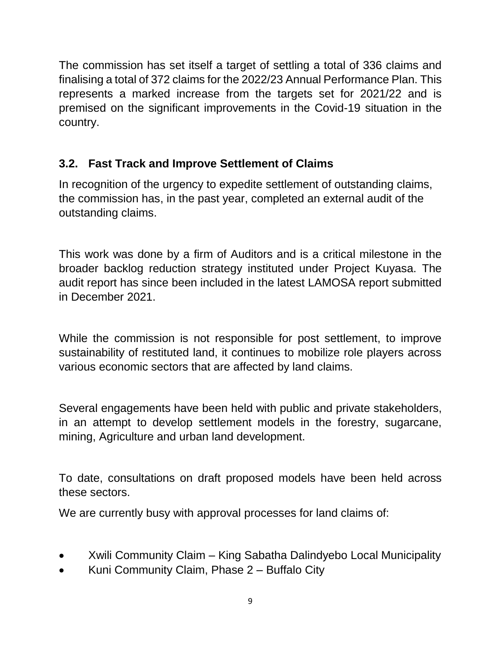The commission has set itself a target of settling a total of 336 claims and finalising a total of 372 claims for the 2022/23 Annual Performance Plan. This represents a marked increase from the targets set for 2021/22 and is premised on the significant improvements in the Covid-19 situation in the country.

# **3.2. Fast Track and Improve Settlement of Claims**

In recognition of the urgency to expedite settlement of outstanding claims, the commission has, in the past year, completed an external audit of the outstanding claims.

This work was done by a firm of Auditors and is a critical milestone in the broader backlog reduction strategy instituted under Project Kuyasa. The audit report has since been included in the latest LAMOSA report submitted in December 2021.

While the commission is not responsible for post settlement, to improve sustainability of restituted land, it continues to mobilize role players across various economic sectors that are affected by land claims.

Several engagements have been held with public and private stakeholders, in an attempt to develop settlement models in the forestry, sugarcane, mining, Agriculture and urban land development.

To date, consultations on draft proposed models have been held across these sectors.

We are currently busy with approval processes for land claims of:

- Xwili Community Claim King Sabatha Dalindyebo Local Municipality
- Kuni Community Claim, Phase 2 Buffalo City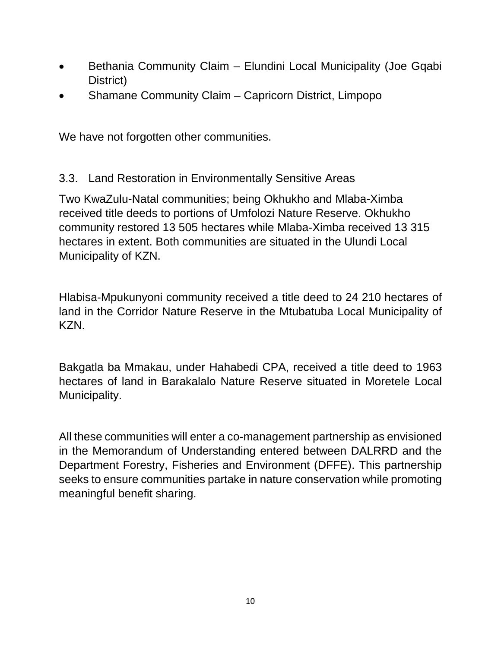- Bethania Community Claim Elundini Local Municipality (Joe Gqabi District)
- Shamane Community Claim Capricorn District, Limpopo

We have not forgotten other communities.

### 3.3. Land Restoration in Environmentally Sensitive Areas

Two KwaZulu-Natal communities; being Okhukho and Mlaba-Ximba received title deeds to portions of Umfolozi Nature Reserve. Okhukho community restored 13 505 hectares while Mlaba-Ximba received 13 315 hectares in extent. Both communities are situated in the Ulundi Local Municipality of KZN.

Hlabisa-Mpukunyoni community received a title deed to 24 210 hectares of land in the Corridor Nature Reserve in the Mtubatuba Local Municipality of KZN.

Bakgatla ba Mmakau, under Hahabedi CPA, received a title deed to 1963 hectares of land in Barakalalo Nature Reserve situated in Moretele Local Municipality.

All these communities will enter a co-management partnership as envisioned in the Memorandum of Understanding entered between DALRRD and the Department Forestry, Fisheries and Environment (DFFE). This partnership seeks to ensure communities partake in nature conservation while promoting meaningful benefit sharing.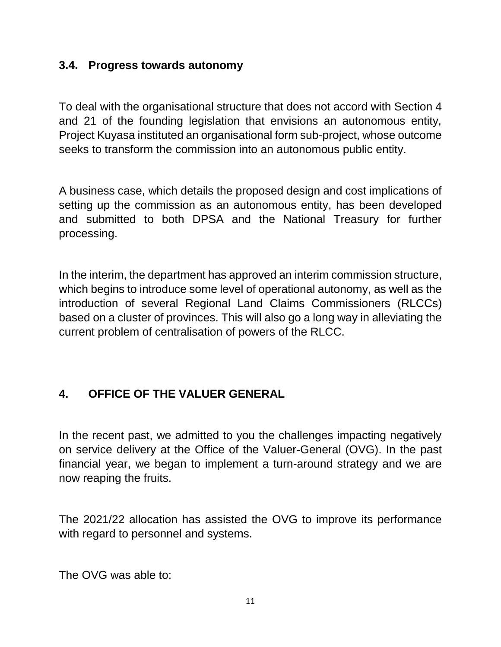#### **3.4. Progress towards autonomy**

To deal with the organisational structure that does not accord with Section 4 and 21 of the founding legislation that envisions an autonomous entity, Project Kuyasa instituted an organisational form sub-project, whose outcome seeks to transform the commission into an autonomous public entity.

A business case, which details the proposed design and cost implications of setting up the commission as an autonomous entity, has been developed and submitted to both DPSA and the National Treasury for further processing.

In the interim, the department has approved an interim commission structure, which begins to introduce some level of operational autonomy, as well as the introduction of several Regional Land Claims Commissioners (RLCCs) based on a cluster of provinces. This will also go a long way in alleviating the current problem of centralisation of powers of the RLCC.

## **4. OFFICE OF THE VALUER GENERAL**

In the recent past, we admitted to you the challenges impacting negatively on service delivery at the Office of the Valuer-General (OVG). In the past financial year, we began to implement a turn-around strategy and we are now reaping the fruits.

The 2021/22 allocation has assisted the OVG to improve its performance with regard to personnel and systems.

The OVG was able to: